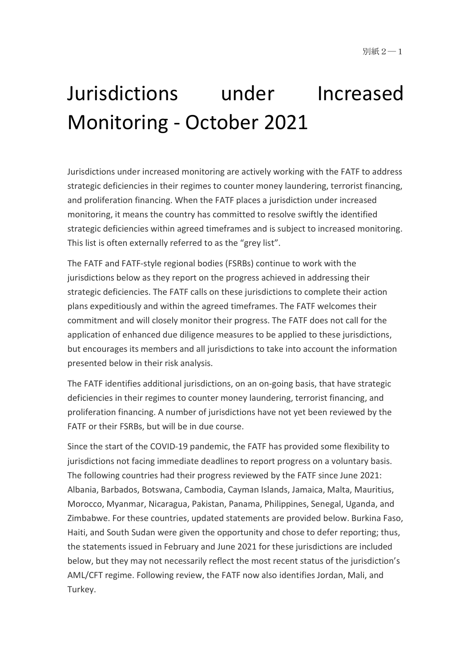# Jurisdictions under Increased Monitoring - October 2021

Jurisdictions under increased monitoring are actively working with the FATF to address strategic deficiencies in their regimes to counter money laundering, terrorist financing, and proliferation financing. When the FATF places a jurisdiction under increased monitoring, it means the country has committed to resolve swiftly the identified strategic deficiencies within agreed timeframes and is subject to increased monitoring. This list is often externally referred to as the "grey list".

The FATF and FATF-style regional bodies (FSRBs) continue to work with the jurisdictions below as they report on the progress achieved in addressing their strategic deficiencies. The FATF calls on these jurisdictions to complete their action plans expeditiously and within the agreed timeframes. The FATF welcomes their commitment and will closely monitor their progress. The FATF does not call for the application of enhanced due diligence measures to be applied to these jurisdictions, but encourages its members and all jurisdictions to take into account the information presented below in their risk analysis.

The FATF identifies additional jurisdictions, on an on-going basis, that have strategic deficiencies in their regimes to counter money laundering, terrorist financing, and proliferation financing. A number of jurisdictions have not yet been reviewed by the FATF or their FSRBs, but will be in due course.

Since the start of the COVID-19 pandemic, the FATF has provided some flexibility to jurisdictions not facing immediate deadlines to report progress on a voluntary basis. The following countries had their progress reviewed by the FATF since June 2021: Albania, Barbados, Botswana, Cambodia, Cayman Islands, Jamaica, Malta, Mauritius, Morocco, Myanmar, Nicaragua, Pakistan, Panama, Philippines, Senegal, Uganda, and Zimbabwe. For these countries, updated statements are provided below. Burkina Faso, Haiti, and South Sudan were given the opportunity and chose to defer reporting; thus, the statements issued in February and June 2021 for these jurisdictions are included below, but they may not necessarily reflect the most recent status of the jurisdiction's AML/CFT regime. Following review, the FATF now also identifies Jordan, Mali, and Turkey.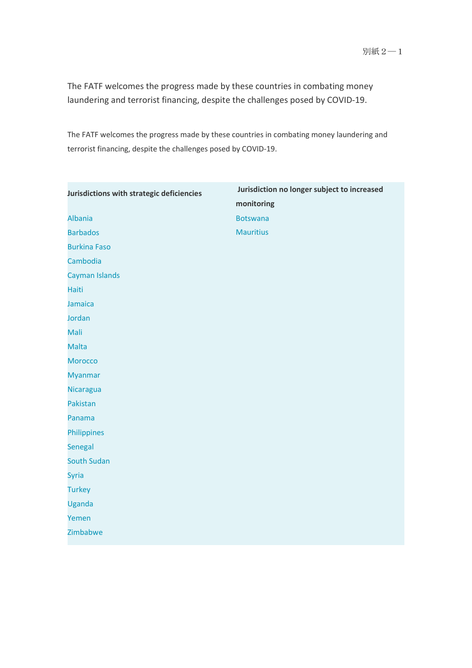The FATF welcomes the progress made by these countries in combating money laundering and terrorist financing, despite the challenges posed by COVID-19.

The FATF welcomes the progress made by these countries in combating money laundering and terrorist financing, despite the challenges posed by COVID-19.

| Jurisdictions with strategic deficiencies | Jurisdiction no longer subject to increased |
|-------------------------------------------|---------------------------------------------|
|                                           | monitoring                                  |
| <b>Albania</b>                            | <b>Botswana</b>                             |
| <b>Barbados</b>                           | <b>Mauritius</b>                            |
| <b>Burkina Faso</b>                       |                                             |
| Cambodia                                  |                                             |
| Cayman Islands                            |                                             |
| Haiti                                     |                                             |
| Jamaica                                   |                                             |
| Jordan                                    |                                             |
| Mali                                      |                                             |
| <b>Malta</b>                              |                                             |
| <b>Morocco</b>                            |                                             |
| <b>Myanmar</b>                            |                                             |
| <b>Nicaragua</b>                          |                                             |
| Pakistan                                  |                                             |
| Panama                                    |                                             |
| Philippines                               |                                             |
| Senegal                                   |                                             |
| <b>South Sudan</b>                        |                                             |
| <b>Syria</b>                              |                                             |
| <b>Turkey</b>                             |                                             |
| Uganda                                    |                                             |
| Yemen                                     |                                             |
| Zimbabwe                                  |                                             |
|                                           |                                             |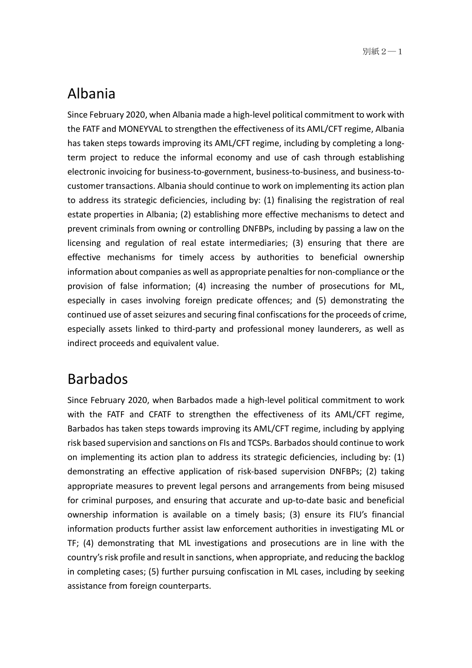# Albania

Since February 2020, when Albania made a high-level political commitment to work with the FATF and MONEYVAL to strengthen the effectiveness of its AML/CFT regime, Albania has taken steps towards improving its AML/CFT regime, including by completing a longterm project to reduce the informal economy and use of cash through establishing electronic invoicing for business-to-government, business-to-business, and business-tocustomer transactions. Albania should continue to work on implementing its action plan to address its strategic deficiencies, including by: (1) finalising the registration of real estate properties in Albania; (2) establishing more effective mechanisms to detect and prevent criminals from owning or controlling DNFBPs, including by passing a law on the licensing and regulation of real estate intermediaries; (3) ensuring that there are effective mechanisms for timely access by authorities to beneficial ownership information about companies as well as appropriate penalties for non-compliance or the provision of false information; (4) increasing the number of prosecutions for ML, especially in cases involving foreign predicate offences; and (5) demonstrating the continued use of asset seizures and securing final confiscations for the proceeds of crime, especially assets linked to third-party and professional money launderers, as well as indirect proceeds and equivalent value.

# Barbados

Since February 2020, when Barbados made a high-level political commitment to work with the FATF and CFATF to strengthen the effectiveness of its AML/CFT regime, Barbados has taken steps towards improving its AML/CFT regime, including by applying risk based supervision and sanctions on FIs and TCSPs. Barbados should continue to work on implementing its action plan to address its strategic deficiencies, including by: (1) demonstrating an effective application of risk-based supervision DNFBPs; (2) taking appropriate measures to prevent legal persons and arrangements from being misused for criminal purposes, and ensuring that accurate and up-to-date basic and beneficial ownership information is available on a timely basis; (3) ensure its FIU's financial information products further assist law enforcement authorities in investigating ML or TF; (4) demonstrating that ML investigations and prosecutions are in line with the country's risk profile and result in sanctions, when appropriate, and reducing the backlog in completing cases; (5) further pursuing confiscation in ML cases, including by seeking assistance from foreign counterparts.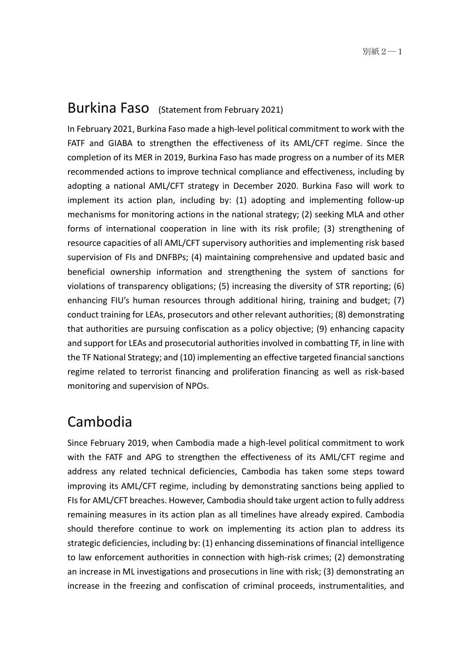#### Burkina Faso (Statement from February 2021)

In February 2021, Burkina Faso made a high-level political commitment to work with the FATF and GIABA to strengthen the effectiveness of its AML/CFT regime. Since the completion of its MER in 2019, Burkina Faso has made progress on a number of its MER recommended actions to improve technical compliance and effectiveness, including by adopting a national AML/CFT strategy in December 2020. Burkina Faso will work to implement its action plan, including by: (1) adopting and implementing follow-up mechanisms for monitoring actions in the national strategy; (2) seeking MLA and other forms of international cooperation in line with its risk profile; (3) strengthening of resource capacities of all AML/CFT supervisory authorities and implementing risk based supervision of FIs and DNFBPs; (4) maintaining comprehensive and updated basic and beneficial ownership information and strengthening the system of sanctions for violations of transparency obligations; (5) increasing the diversity of STR reporting; (6) enhancing FIU's human resources through additional hiring, training and budget; (7) conduct training for LEAs, prosecutors and other relevant authorities; (8) demonstrating that authorities are pursuing confiscation as a policy objective; (9) enhancing capacity and support for LEAs and prosecutorial authorities involved in combatting TF, in line with the TF National Strategy; and (10) implementing an effective targeted financial sanctions regime related to terrorist financing and proliferation financing as well as risk-based monitoring and supervision of NPOs.

#### Cambodia

Since February 2019, when Cambodia made a high-level political commitment to work with the FATF and APG to strengthen the effectiveness of its AML/CFT regime and address any related technical deficiencies, Cambodia has taken some steps toward improving its AML/CFT regime, including by demonstrating sanctions being applied to FIs for AML/CFT breaches. However, Cambodia should take urgent action to fully address remaining measures in its action plan as all timelines have already expired. Cambodia should therefore continue to work on implementing its action plan to address its strategic deficiencies, including by: (1) enhancing disseminations of financial intelligence to law enforcement authorities in connection with high-risk crimes; (2) demonstrating an increase in ML investigations and prosecutions in line with risk; (3) demonstrating an increase in the freezing and confiscation of criminal proceeds, instrumentalities, and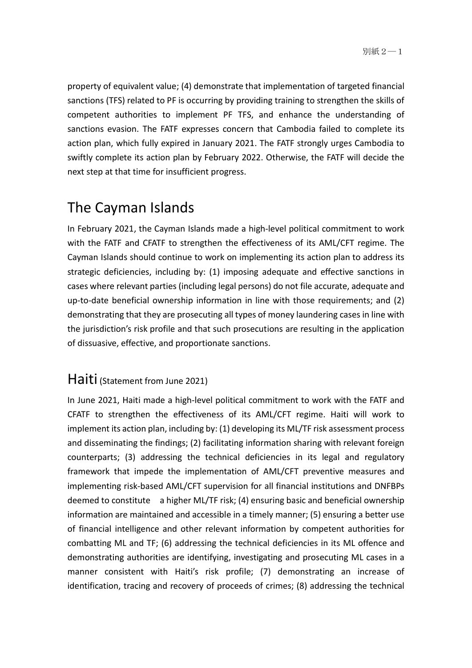property of equivalent value; (4) demonstrate that implementation of targeted financial sanctions (TFS) related to PF is occurring by providing training to strengthen the skills of competent authorities to implement PF TFS, and enhance the understanding of sanctions evasion. The FATF expresses concern that Cambodia failed to complete its action plan, which fully expired in January 2021. The FATF strongly urges Cambodia to swiftly complete its action plan by February 2022. Otherwise, the FATF will decide the next step at that time for insufficient progress.

# The Cayman Islands

In February 2021, the Cayman Islands made a high-level political commitment to work with the FATF and CFATF to strengthen the effectiveness of its AML/CFT regime. The Cayman Islands should continue to work on implementing its action plan to address its strategic deficiencies, including by: (1) imposing adequate and effective sanctions in cases where relevant parties (including legal persons) do not file accurate, adequate and up-to-date beneficial ownership information in line with those requirements; and (2) demonstrating that they are prosecuting all types of money laundering cases in line with the jurisdiction's risk profile and that such prosecutions are resulting in the application of dissuasive, effective, and proportionate sanctions.

#### Haiti (Statement from June 2021)

In June 2021, Haiti made a high-level political commitment to work with the FATF and CFATF to strengthen the effectiveness of its AML/CFT regime. Haiti will work to implement its action plan, including by: (1) developing its ML/TF risk assessment process and disseminating the findings; (2) facilitating information sharing with relevant foreign counterparts; (3) addressing the technical deficiencies in its legal and regulatory framework that impede the implementation of AML/CFT preventive measures and implementing risk-based AML/CFT supervision for all financial institutions and DNFBPs deemed to constitute a higher ML/TF risk; (4) ensuring basic and beneficial ownership information are maintained and accessible in a timely manner; (5) ensuring a better use of financial intelligence and other relevant information by competent authorities for combatting ML and TF; (6) addressing the technical deficiencies in its ML offence and demonstrating authorities are identifying, investigating and prosecuting ML cases in a manner consistent with Haiti's risk profile; (7) demonstrating an increase of identification, tracing and recovery of proceeds of crimes; (8) addressing the technical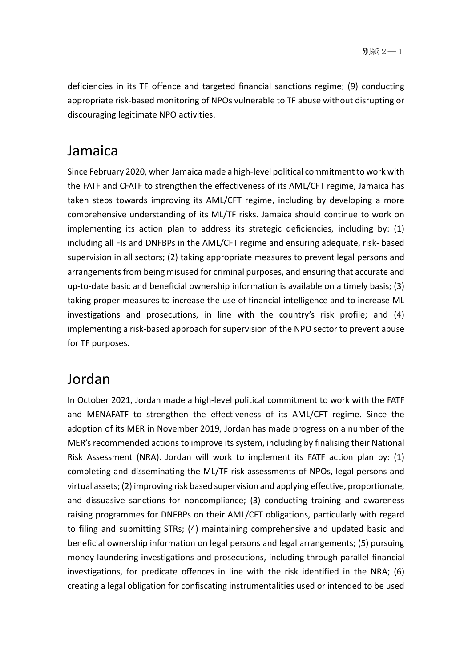deficiencies in its TF offence and targeted financial sanctions regime; (9) conducting appropriate risk-based monitoring of NPOs vulnerable to TF abuse without disrupting or discouraging legitimate NPO activities.

#### Jamaica

Since February 2020, when Jamaica made a high-level political commitment to work with the FATF and CFATF to strengthen the effectiveness of its AML/CFT regime, Jamaica has taken steps towards improving its AML/CFT regime, including by developing a more comprehensive understanding of its ML/TF risks. Jamaica should continue to work on implementing its action plan to address its strategic deficiencies, including by: (1) including all FIs and DNFBPs in the AML/CFT regime and ensuring adequate, risk- based supervision in all sectors; (2) taking appropriate measures to prevent legal persons and arrangements from being misused for criminal purposes, and ensuring that accurate and up-to-date basic and beneficial ownership information is available on a timely basis; (3) taking proper measures to increase the use of financial intelligence and to increase ML investigations and prosecutions, in line with the country's risk profile; and (4) implementing a risk-based approach for supervision of the NPO sector to prevent abuse for TF purposes.

# Jordan

In October 2021, Jordan made a high-level political commitment to work with the FATF and MENAFATF to strengthen the effectiveness of its AML/CFT regime. Since the adoption of its MER in November 2019, Jordan has made progress on a number of the MER's recommended actions to improve its system, including by finalising their National Risk Assessment (NRA). Jordan will work to implement its FATF action plan by: (1) completing and disseminating the ML/TF risk assessments of NPOs, legal persons and virtual assets; (2) improving risk based supervision and applying effective, proportionate, and dissuasive sanctions for noncompliance; (3) conducting training and awareness raising programmes for DNFBPs on their AML/CFT obligations, particularly with regard to filing and submitting STRs; (4) maintaining comprehensive and updated basic and beneficial ownership information on legal persons and legal arrangements; (5) pursuing money laundering investigations and prosecutions, including through parallel financial investigations, for predicate offences in line with the risk identified in the NRA; (6) creating a legal obligation for confiscating instrumentalities used or intended to be used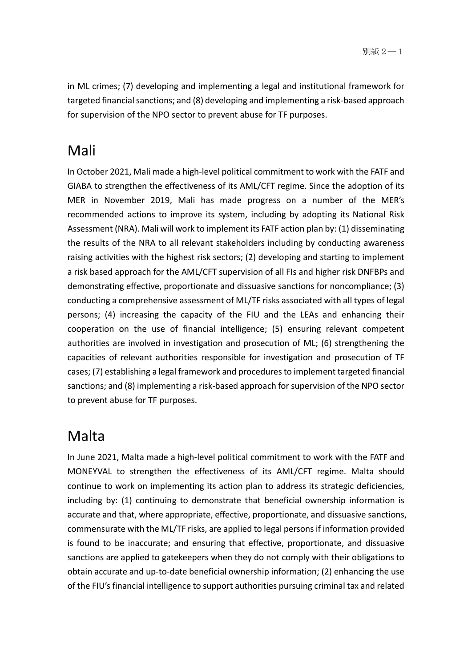in ML crimes; (7) developing and implementing a legal and institutional framework for targeted financial sanctions; and (8) developing and implementing a risk-based approach for supervision of the NPO sector to prevent abuse for TF purposes.

# Mali

In October 2021, Mali made a high-level political commitment to work with the FATF and GIABA to strengthen the effectiveness of its AML/CFT regime. Since the adoption of its MER in November 2019, Mali has made progress on a number of the MER's recommended actions to improve its system, including by adopting its National Risk Assessment (NRA). Mali will work to implement its FATF action plan by: (1) disseminating the results of the NRA to all relevant stakeholders including by conducting awareness raising activities with the highest risk sectors; (2) developing and starting to implement a risk based approach for the AML/CFT supervision of all FIs and higher risk DNFBPs and demonstrating effective, proportionate and dissuasive sanctions for noncompliance; (3) conducting a comprehensive assessment of ML/TF risks associated with all types of legal persons; (4) increasing the capacity of the FIU and the LEAs and enhancing their cooperation on the use of financial intelligence; (5) ensuring relevant competent authorities are involved in investigation and prosecution of ML; (6) strengthening the capacities of relevant authorities responsible for investigation and prosecution of TF cases; (7) establishing a legal framework and procedures to implement targeted financial sanctions; and (8) implementing a risk-based approach for supervision of the NPO sector to prevent abuse for TF purposes.

# Malta

In June 2021, Malta made a high-level political commitment to work with the FATF and MONEYVAL to strengthen the effectiveness of its AML/CFT regime. Malta should continue to work on implementing its action plan to address its strategic deficiencies, including by: (1) continuing to demonstrate that beneficial ownership information is accurate and that, where appropriate, effective, proportionate, and dissuasive sanctions, commensurate with the ML/TF risks, are applied to legal persons if information provided is found to be inaccurate; and ensuring that effective, proportionate, and dissuasive sanctions are applied to gatekeepers when they do not comply with their obligations to obtain accurate and up-to-date beneficial ownership information; (2) enhancing the use of the FIU's financial intelligence to support authorities pursuing criminal tax and related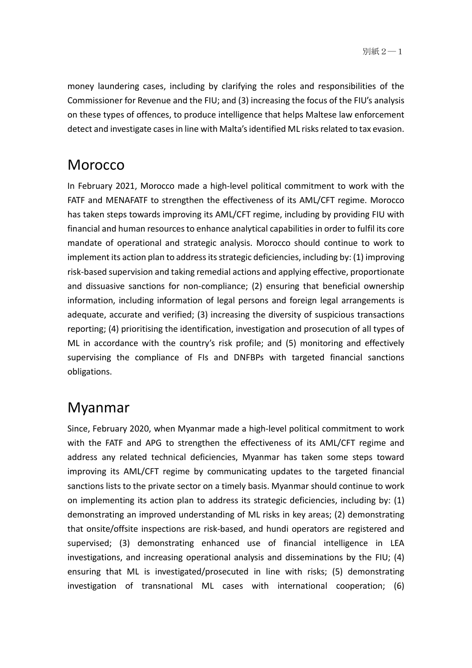money laundering cases, including by clarifying the roles and responsibilities of the Commissioner for Revenue and the FIU; and (3) increasing the focus of the FIU's analysis on these types of offences, to produce intelligence that helps Maltese law enforcement detect and investigate cases in line with Malta's identified ML risks related to tax evasion.

# **Morocco**

In February 2021, Morocco made a high-level political commitment to work with the FATF and MENAFATF to strengthen the effectiveness of its AML/CFT regime. Morocco has taken steps towards improving its AML/CFT regime, including by providing FIU with financial and human resources to enhance analytical capabilities in order to fulfil its core mandate of operational and strategic analysis. Morocco should continue to work to implement its action plan to address its strategic deficiencies, including by: (1) improving risk-based supervision and taking remedial actions and applying effective, proportionate and dissuasive sanctions for non-compliance; (2) ensuring that beneficial ownership information, including information of legal persons and foreign legal arrangements is adequate, accurate and verified; (3) increasing the diversity of suspicious transactions reporting; (4) prioritising the identification, investigation and prosecution of all types of ML in accordance with the country's risk profile; and (5) monitoring and effectively supervising the compliance of FIs and DNFBPs with targeted financial sanctions obligations.

# Myanmar

Since, February 2020, when Myanmar made a high-level political commitment to work with the FATF and APG to strengthen the effectiveness of its AML/CFT regime and address any related technical deficiencies, Myanmar has taken some steps toward improving its AML/CFT regime by communicating updates to the targeted financial sanctions lists to the private sector on a timely basis. Myanmar should continue to work on implementing its action plan to address its strategic deficiencies, including by: (1) demonstrating an improved understanding of ML risks in key areas; (2) demonstrating that onsite/offsite inspections are risk-based, and hundi operators are registered and supervised; (3) demonstrating enhanced use of financial intelligence in LEA investigations, and increasing operational analysis and disseminations by the FIU; (4) ensuring that ML is investigated/prosecuted in line with risks; (5) demonstrating investigation of transnational ML cases with international cooperation; (6)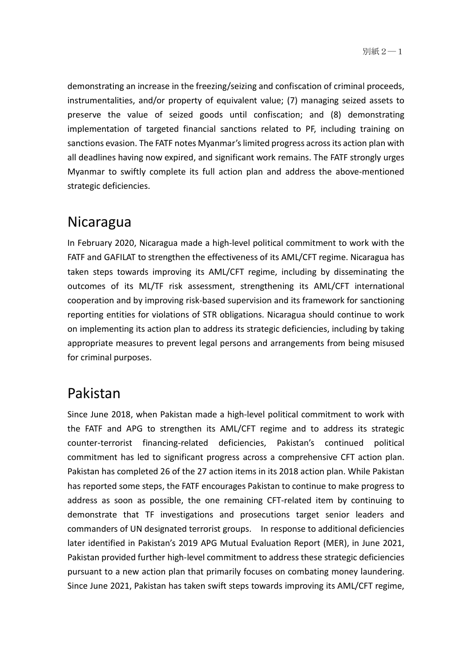demonstrating an increase in the freezing/seizing and confiscation of criminal proceeds, instrumentalities, and/or property of equivalent value; (7) managing seized assets to preserve the value of seized goods until confiscation; and (8) demonstrating implementation of targeted financial sanctions related to PF, including training on sanctions evasion. The FATF notes Myanmar's limited progress across its action plan with all deadlines having now expired, and significant work remains. The FATF strongly urges Myanmar to swiftly complete its full action plan and address the above-mentioned strategic deficiencies.

# Nicaragua

In February 2020, Nicaragua made a high-level political commitment to work with the FATF and GAFILAT to strengthen the effectiveness of its AML/CFT regime. Nicaragua has taken steps towards improving its AML/CFT regime, including by disseminating the outcomes of its ML/TF risk assessment, strengthening its AML/CFT international cooperation and by improving risk-based supervision and its framework for sanctioning reporting entities for violations of STR obligations. Nicaragua should continue to work on implementing its action plan to address its strategic deficiencies, including by taking appropriate measures to prevent legal persons and arrangements from being misused for criminal purposes.

# Pakistan

Since June 2018, when Pakistan made a high-level political commitment to work with the FATF and APG to strengthen its AML/CFT regime and to address its strategic counter‑terrorist financing-related deficiencies, Pakistan's continued political commitment has led to significant progress across a comprehensive CFT action plan. Pakistan has completed 26 of the 27 action items in its 2018 action plan. While Pakistan has reported some steps, the FATF encourages Pakistan to continue to make progress to address as soon as possible, the one remaining CFT-related item by continuing to demonstrate that TF investigations and prosecutions target senior leaders and commanders of UN designated terrorist groups. In response to additional deficiencies later identified in Pakistan's 2019 APG Mutual Evaluation Report (MER), in June 2021, Pakistan provided further high-level commitment to address these strategic deficiencies pursuant to a new action plan that primarily focuses on combating money laundering. Since June 2021, Pakistan has taken swift steps towards improving its AML/CFT regime,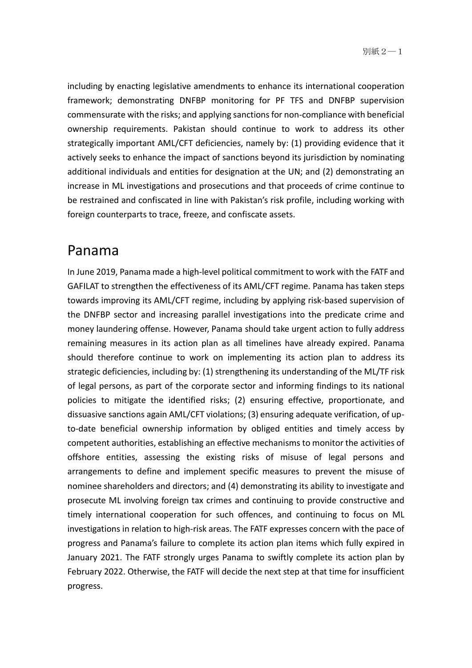including by enacting legislative amendments to enhance its international cooperation framework; demonstrating DNFBP monitoring for PF TFS and DNFBP supervision commensurate with the risks; and applying sanctions for non-compliance with beneficial ownership requirements. Pakistan should continue to work to address its other strategically important AML/CFT deficiencies, namely by: (1) providing evidence that it actively seeks to enhance the impact of sanctions beyond its jurisdiction by nominating additional individuals and entities for designation at the UN; and (2) demonstrating an increase in ML investigations and prosecutions and that proceeds of crime continue to be restrained and confiscated in line with Pakistan's risk profile, including working with foreign counterparts to trace, freeze, and confiscate assets.

#### Panama

In June 2019, Panama made a high-level political commitment to work with the FATF and GAFILAT to strengthen the effectiveness of its AML/CFT regime. Panama has taken steps towards improving its AML/CFT regime, including by applying risk-based supervision of the DNFBP sector and increasing parallel investigations into the predicate crime and money laundering offense. However, Panama should take urgent action to fully address remaining measures in its action plan as all timelines have already expired. Panama should therefore continue to work on implementing its action plan to address its strategic deficiencies, including by: (1) strengthening its understanding of the ML/TF risk of legal persons, as part of the corporate sector and informing findings to its national policies to mitigate the identified risks; (2) ensuring effective, proportionate, and dissuasive sanctions again AML/CFT violations; (3) ensuring adequate verification, of upto-date beneficial ownership information by obliged entities and timely access by competent authorities, establishing an effective mechanisms to monitor the activities of offshore entities, assessing the existing risks of misuse of legal persons and arrangements to define and implement specific measures to prevent the misuse of nominee shareholders and directors; and (4) demonstrating its ability to investigate and prosecute ML involving foreign tax crimes and continuing to provide constructive and timely international cooperation for such offences, and continuing to focus on ML investigations in relation to high-risk areas. The FATF expresses concern with the pace of progress and Panama's failure to complete its action plan items which fully expired in January 2021. The FATF strongly urges Panama to swiftly complete its action plan by February 2022. Otherwise, the FATF will decide the next step at that time for insufficient progress.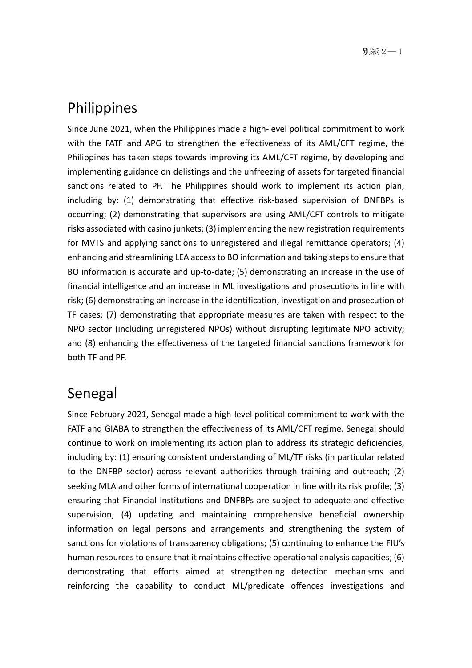#### Philippines

Since June 2021, when the Philippines made a high-level political commitment to work with the FATF and APG to strengthen the effectiveness of its AML/CFT regime, the Philippines has taken steps towards improving its AML/CFT regime, by developing and implementing guidance on delistings and the unfreezing of assets for targeted financial sanctions related to PF. The Philippines should work to implement its action plan, including by: (1) demonstrating that effective risk-based supervision of DNFBPs is occurring; (2) demonstrating that supervisors are using AML/CFT controls to mitigate risks associated with casino junkets; (3) implementing the new registration requirements for MVTS and applying sanctions to unregistered and illegal remittance operators; (4) enhancing and streamlining LEA access to BO information and taking steps to ensure that BO information is accurate and up-to-date; (5) demonstrating an increase in the use of financial intelligence and an increase in ML investigations and prosecutions in line with risk; (6) demonstrating an increase in the identification, investigation and prosecution of TF cases; (7) demonstrating that appropriate measures are taken with respect to the NPO sector (including unregistered NPOs) without disrupting legitimate NPO activity; and (8) enhancing the effectiveness of the targeted financial sanctions framework for both TF and PF.

#### Senegal

Since February 2021, Senegal made a high-level political commitment to work with the FATF and GIABA to strengthen the effectiveness of its AML/CFT regime. Senegal should continue to work on implementing its action plan to address its strategic deficiencies, including by: (1) ensuring consistent understanding of ML/TF risks (in particular related to the DNFBP sector) across relevant authorities through training and outreach; (2) seeking MLA and other forms of international cooperation in line with its risk profile; (3) ensuring that Financial Institutions and DNFBPs are subject to adequate and effective supervision; (4) updating and maintaining comprehensive beneficial ownership information on legal persons and arrangements and strengthening the system of sanctions for violations of transparency obligations; (5) continuing to enhance the FIU's human resources to ensure that it maintains effective operational analysis capacities; (6) demonstrating that efforts aimed at strengthening detection mechanisms and reinforcing the capability to conduct ML/predicate offences investigations and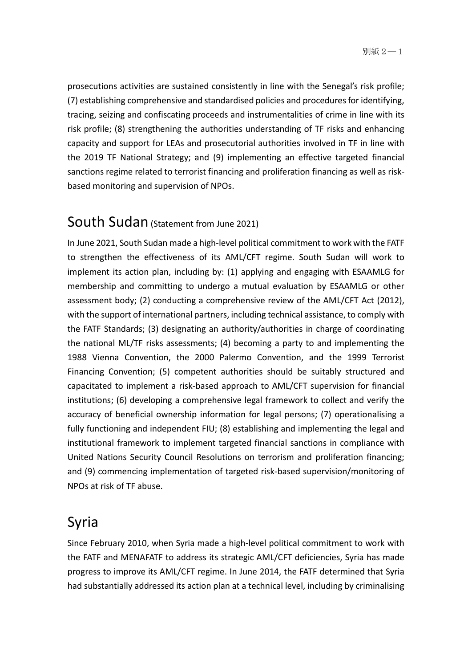prosecutions activities are sustained consistently in line with the Senegal's risk profile; (7) establishing comprehensive and standardised policies and procedures for identifying, tracing, seizing and confiscating proceeds and instrumentalities of crime in line with its risk profile; (8) strengthening the authorities understanding of TF risks and enhancing capacity and support for LEAs and prosecutorial authorities involved in TF in line with the 2019 TF National Strategy; and (9) implementing an effective targeted financial sanctions regime related to terrorist financing and proliferation financing as well as riskbased monitoring and supervision of NPOs.

# South Sudan (Statement from June 2021)

In June 2021, South Sudan made a high-level political commitment to work with the FATF to strengthen the effectiveness of its AML/CFT regime. South Sudan will work to implement its action plan, including by: (1) applying and engaging with ESAAMLG for membership and committing to undergo a mutual evaluation by ESAAMLG or other assessment body; (2) conducting a comprehensive review of the AML/CFT Act (2012), with the support of international partners, including technical assistance, to comply with the FATF Standards; (3) designating an authority/authorities in charge of coordinating the national ML/TF risks assessments; (4) becoming a party to and implementing the 1988 Vienna Convention, the 2000 Palermo Convention, and the 1999 Terrorist Financing Convention; (5) competent authorities should be suitably structured and capacitated to implement a risk-based approach to AML/CFT supervision for financial institutions; (6) developing a comprehensive legal framework to collect and verify the accuracy of beneficial ownership information for legal persons; (7) operationalising a fully functioning and independent FIU; (8) establishing and implementing the legal and institutional framework to implement targeted financial sanctions in compliance with United Nations Security Council Resolutions on terrorism and proliferation financing; and (9) commencing implementation of targeted risk-based supervision/monitoring of NPOs at risk of TF abuse.

# Syria

Since February 2010, when Syria made a high-level political commitment to work with the FATF and MENAFATF to address its strategic AML/CFT deficiencies, Syria has made progress to improve its AML/CFT regime. In June 2014, the FATF determined that Syria had substantially addressed its action plan at a technical level, including by criminalising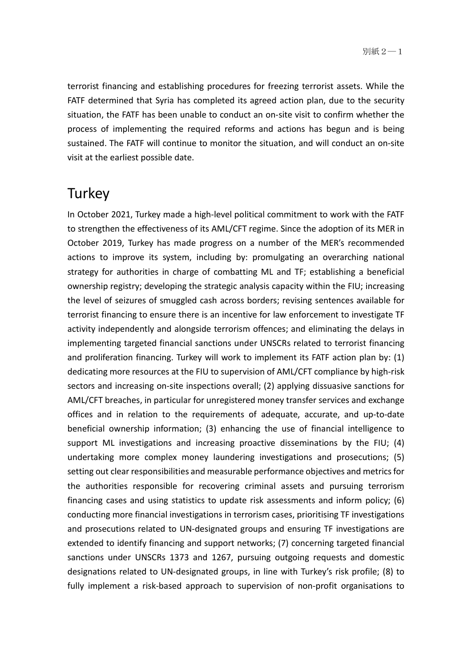terrorist financing and establishing procedures for freezing terrorist assets. While the FATF determined that Syria has completed its agreed action plan, due to the security situation, the FATF has been unable to conduct an on-site visit to confirm whether the process of implementing the required reforms and actions has begun and is being sustained. The FATF will continue to monitor the situation, and will conduct an on-site visit at the earliest possible date.

#### **Turkey**

In October 2021, Turkey made a high-level political commitment to work with the FATF to strengthen the effectiveness of its AML/CFT regime. Since the adoption of its MER in October 2019, Turkey has made progress on a number of the MER's recommended actions to improve its system, including by: promulgating an overarching national strategy for authorities in charge of combatting ML and TF; establishing a beneficial ownership registry; developing the strategic analysis capacity within the FIU; increasing the level of seizures of smuggled cash across borders; revising sentences available for terrorist financing to ensure there is an incentive for law enforcement to investigate TF activity independently and alongside terrorism offences; and eliminating the delays in implementing targeted financial sanctions under UNSCRs related to terrorist financing and proliferation financing. Turkey will work to implement its FATF action plan by: (1) dedicating more resources at the FIU to supervision of AML/CFT compliance by high-risk sectors and increasing on-site inspections overall; (2) applying dissuasive sanctions for AML/CFT breaches, in particular for unregistered money transfer services and exchange offices and in relation to the requirements of adequate, accurate, and up-to-date beneficial ownership information; (3) enhancing the use of financial intelligence to support ML investigations and increasing proactive disseminations by the FIU; (4) undertaking more complex money laundering investigations and prosecutions; (5) setting out clear responsibilities and measurable performance objectives and metrics for the authorities responsible for recovering criminal assets and pursuing terrorism financing cases and using statistics to update risk assessments and inform policy; (6) conducting more financial investigations in terrorism cases, prioritising TF investigations and prosecutions related to UN-designated groups and ensuring TF investigations are extended to identify financing and support networks; (7) concerning targeted financial sanctions under UNSCRs 1373 and 1267, pursuing outgoing requests and domestic designations related to UN-designated groups, in line with Turkey's risk profile; (8) to fully implement a risk-based approach to supervision of non-profit organisations to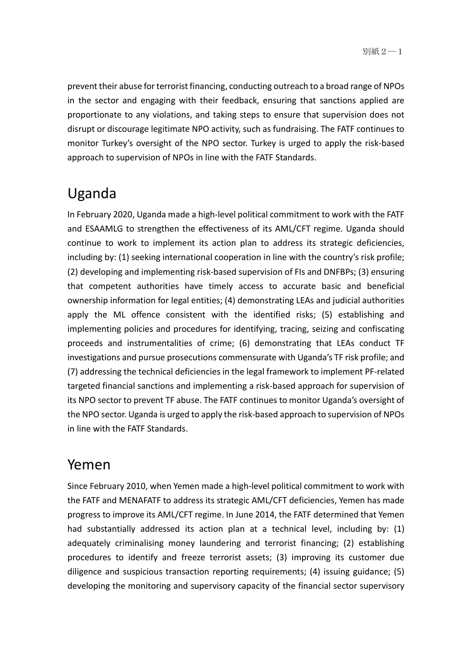prevent their abuse for terrorist financing, conducting outreach to a broad range of NPOs in the sector and engaging with their feedback, ensuring that sanctions applied are proportionate to any violations, and taking steps to ensure that supervision does not disrupt or discourage legitimate NPO activity, such as fundraising. The FATF continues to monitor Turkey's oversight of the NPO sector. Turkey is urged to apply the risk-based approach to supervision of NPOs in line with the FATF Standards.

# Uganda

In February 2020, Uganda made a high-level political commitment to work with the FATF and ESAAMLG to strengthen the effectiveness of its AML/CFT regime. Uganda should continue to work to implement its action plan to address its strategic deficiencies, including by: (1) seeking international cooperation in line with the country's risk profile; (2) developing and implementing risk-based supervision of FIs and DNFBPs; (3) ensuring that competent authorities have timely access to accurate basic and beneficial ownership information for legal entities; (4) demonstrating LEAs and judicial authorities apply the ML offence consistent with the identified risks; (5) establishing and implementing policies and procedures for identifying, tracing, seizing and confiscating proceeds and instrumentalities of crime; (6) demonstrating that LEAs conduct TF investigations and pursue prosecutions commensurate with Uganda's TF risk profile; and (7) addressing the technical deficiencies in the legal framework to implement PF-related targeted financial sanctions and implementing a risk-based approach for supervision of its NPO sector to prevent TF abuse. The FATF continues to monitor Uganda's oversight of the NPO sector. Uganda is urged to apply the risk-based approach to supervision of NPOs in line with the FATF Standards.

#### Yemen

Since February 2010, when Yemen made a high-level political commitment to work with the FATF and MENAFATF to address its strategic AML/CFT deficiencies, Yemen has made progress to improve its AML/CFT regime. In June 2014, the FATF determined that Yemen had substantially addressed its action plan at a technical level, including by: (1) adequately criminalising money laundering and terrorist financing; (2) establishing procedures to identify and freeze terrorist assets; (3) improving its customer due diligence and suspicious transaction reporting requirements; (4) issuing guidance; (5) developing the monitoring and supervisory capacity of the financial sector supervisory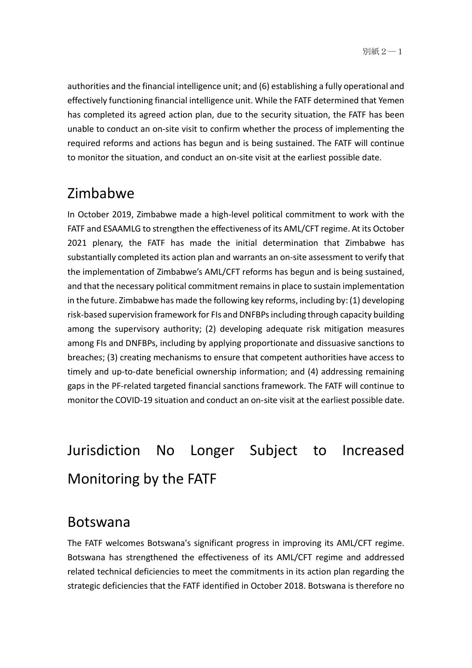authorities and the financial intelligence unit; and (6) establishing a fully operational and effectively functioning financial intelligence unit. While the FATF determined that Yemen has completed its agreed action plan, due to the security situation, the FATF has been unable to conduct an on-site visit to confirm whether the process of implementing the required reforms and actions has begun and is being sustained. The FATF will continue to monitor the situation, and conduct an on-site visit at the earliest possible date.

#### Zimbabwe

In October 2019, Zimbabwe made a high-level political commitment to work with the FATF and ESAAMLG to strengthen the effectiveness of its AML/CFT regime. At its October 2021 plenary, the FATF has made the initial determination that Zimbabwe has substantially completed its action plan and warrants an on-site assessment to verify that the implementation of Zimbabwe's AML/CFT reforms has begun and is being sustained, and that the necessary political commitment remains in place to sustain implementation in the future. Zimbabwe has made the following key reforms, including by: (1) developing risk-based supervision framework for FIs and DNFBPs including through capacity building among the supervisory authority; (2) developing adequate risk mitigation measures among FIs and DNFBPs, including by applying proportionate and dissuasive sanctions to breaches; (3) creating mechanisms to ensure that competent authorities have access to timely and up-to-date beneficial ownership information; and (4) addressing remaining gaps in the PF-related targeted financial sanctions framework. The FATF will continue to monitor the COVID-19 situation and conduct an on-site visit at the earliest possible date.

# Jurisdiction No Longer Subject to Increased Monitoring by the FATF

#### Botswana

The FATF welcomes Botswana's significant progress in improving its AML/CFT regime. Botswana has strengthened the effectiveness of its AML/CFT regime and addressed related technical deficiencies to meet the commitments in its action plan regarding the strategic deficiencies that the FATF identified in October 2018. Botswana is therefore no